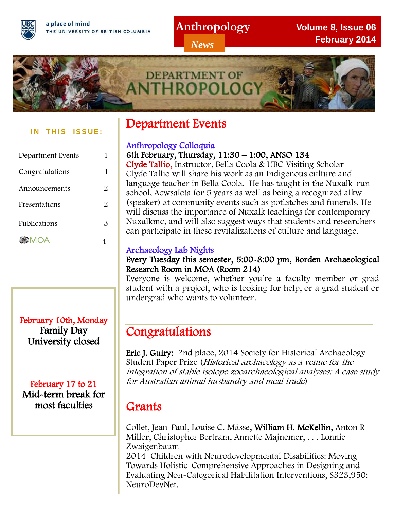a place of mind THE UNIVERSITY OF BRITISH COLUMBIA

## **Anthropology**

*News*

**Volume 8, Issue 06 February 2014**



#### **IN THIS ISSUE:**

| Department Events |   |
|-------------------|---|
| Congratulations   | 1 |
| Announcements     | 2 |
| Presentations     | 2 |
| Publications      | 3 |
| <b>MOA</b>        |   |

## February 10th, Monday Family Day University closed

February 17 to 21 Mid-term break for most faculties

# Department Events

### Anthropology Colloquia

6th February, Thursday, 11:30 – 1:00, ANSO 134

Clyde Tallio, Instructor, Bella Coola & UBC Visiting Scholar Clyde Tallio will share his work as an Indigenous culture and language teacher in Bella Coola. He has taught in the Nuxalk-run school, Acwsalcta for 5 years as well as being a recognized alkw (speaker) at community events such as potlatches and funerals. He will discuss the importance of Nuxalk teachings for contemporary Nuxalkmc, and will also suggest ways that students and researchers can participate in these revitalizations of culture and language.

## Archaeology Lab Nights

Every Tuesday this semester, 5:00-8:00 pm, Borden Archaeological Research Room in MOA (Room 214)

Everyone is welcome, whether you're a faculty member or grad student with a project, who is looking for help, or a grad student or undergrad who wants to volunteer.

# Congratulations

Eric J. Guiry: 2nd place, 2014 Society for Historical Archaeology Student Paper Prize (Historical archaeology as a venue for the integration of stable isotope zooarchaeological analyses: A case study for Australian animal husbandry and meat trade)

# Grants

Collet, Jean-Paul, Louise C. Mâsse, William H. McKellin, Anton R Miller, Christopher Bertram, Annette Majnemer, . . . Lonnie Zwaigenbaum

2014 Children with Neurodevelopmental Disabilities: Moving Towards Holistic-Comprehensive Approaches in Designing and Evaluating Non-Categorical Habilitation Interventions, \$323,950: NeuroDevNet.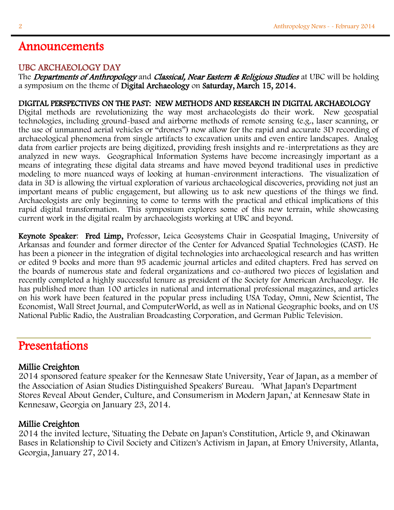### UBC ARCHAEOLOGY DAY

The Departments of Anthropology and Classical, Near Eastern & Religious Studies at UBC will be holding a symposium on the theme of Digital Archaeology on Saturday, March 15, 2014.

### DIGITAL PERSPECTIVES ON THE PAST: NEW METHODS AND RESEARCH IN DIGITAL ARCHAEOLOGY

Digital methods are revolutionizing the way most archaeologists do their work. New geospatial technologies, including ground-based and airborne methods of remote sensing (e.g., laser scanning, or the use of unmanned aerial vehicles or "drones") now allow for the rapid and accurate 3D recording of archaeological phenomena from single artifacts to excavation units and even entire landscapes. Analog data from earlier projects are being digitized, providing fresh insights and re-interpretations as they are analyzed in new ways. Geographical Information Systems have become increasingly important as a means of integrating these digital data streams and have moved beyond traditional uses in predictive modeling to more nuanced ways of looking at human-environment interactions. The visualization of data in 3D is allowing the virtual exploration of various archaeological discoveries, providing not just an important means of public engagement, but allowing us to ask new questions of the things we find. Archaeologists are only beginning to come to terms with the practical and ethical implications of this rapid digital transformation. This symposium explores some of this new terrain, while showcasing current work in the digital realm by archaeologists working at UBC and beyond.

Keynote Speaker: Fred Limp, Professor, Leica Geosystems Chair in Geospatial Imaging, University of Arkansas and founder and former director of the Center for Advanced Spatial Technologies (CAST). He has been a pioneer in the integration of digital technologies into archaeological research and has written or edited 9 books and more than 95 academic journal articles and edited chapters. Fred has served on the boards of numerous state and federal organizations and co-authored two pieces of legislation and recently completed a highly successful tenure as president of the Society for American Archaeology. He has published more than 100 articles in national and international professional magazines, and articles on his work have been featured in the popular press including USA Today, Omni, New Scientist, The Economist, Wall Street Journal, and ComputerWorld, as well as in National Geographic books, and on US National Public Radio, the Australian Broadcasting Corporation, and German Public Television.

## Presentations

### Millie Creighton

2014 sponsored feature speaker for the Kennesaw State University, Year of Japan, as a member of the Association of Asian Studies Distinguished Speakers' Bureau. 'What Japan's Department Stores Reveal About Gender, Culture, and Consumerism in Modern Japan,' at Kennesaw State in Kennesaw, Georgia on January 23, 2014.

### Millie Creighton

2014 the invited lecture, 'Situating the Debate on Japan's Constitution, Article 9, and Okinawan Bases in Relationship to Civil Society and Citizen's Activism in Japan, at Emory University, Atlanta, Georgia, January 27, 2014.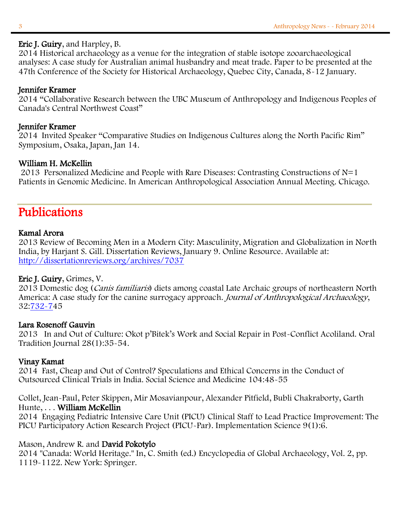#### Eric J. Guiry, and Harpley, B.

2014 Historical archaeology as a venue for the integration of stable isotope zooarchaeological analyses: A case study for Australian animal husbandry and meat trade. Paper to be presented at the 47th Conference of the Society for Historical Archaeology, Quebec City, Canada, 8-12 January.

#### Jennifer Kramer

2014 "Collaborative Research between the UBC Museum of Anthropology and Indigenous Peoples of Canada's Central Northwest Coast"

#### Jennifer Kramer

2014 Invited Speaker "Comparative Studies on Indigenous Cultures along the North Pacific Rim" Symposium, Osaka, Japan, Jan 14.

#### William H. McKellin

2013 Personalized Medicine and People with Rare Diseases: Contrasting Constructions of N=1 Patients in Genomic Medicine. In American Anthropological Association Annual Meeting. Chicago.

# Publications

#### Kamal Arora

2013 Review of Becoming Men in a Modern City: Masculinity, Migration and Globalization in North India, by Harjant S. Gill. Dissertation Reviews, January 9. Online Resource. Available at: <http://dissertationreviews.org/archives/7037>

#### Eric J. Guiry, Grimes, V.

2013 Domestic dog (Canis familiaris) diets among coastal Late Archaic groups of northeastern North America: A case study for the canine surrogacy approach. Journal of Anthropological Archaeology, 32[:732-74](http://dx.doi.org/10.1016/j.jaa.2013.04.005)5

#### Lara Rosenoff Gauvin

2013 In and Out of Culture: Okot p'Bitek's Work and Social Repair in Post-Conflict Acoliland. Oral Tradition Journal 28(1):35-54.

#### Vinay Kamat

2014 Fast, Cheap and Out of Control? Speculations and Ethical Concerns in the Conduct of Outsourced Clinical Trials in India. Social Science and Medicine 104:48-55

Collet, Jean-Paul, Peter Skippen, Mir Mosavianpour, Alexander Pitfield, Bubli Chakraborty, Garth Hunte, . . . William McKellin

2014 Engaging Pediatric Intensive Care Unit (PICU) Clinical Staff to Lead Practice Improvement: The PICU Participatory Action Research Project (PICU-Par). Implementation Science 9(1):6.

### Mason, Andrew R. and David Pokotylo

2014 "Canada: World Heritage." In, C. Smith (ed.) Encyclopedia of Global Archaeology, Vol. 2, pp. 1119-1122. New York: Springer.